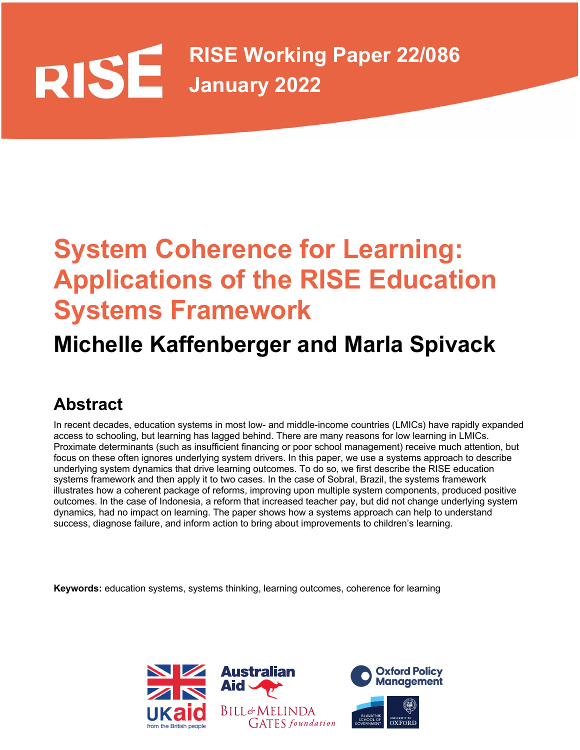# **RISE Working Paper 22/086 DISE** SE Working

# **System Coherence for Learning: Applications of the RISE Education Systems Framework**

# **Michelle Kaffenberger and Marla Spivack**

# **Abstract**

 In recent decades, education systems in most low- and middle-income countries (LMICs) have rapidly expanded access to schooling, but learning has lagged behind. There are many reasons for low learning in LMICs. Proximate determinants (such as insufficient financing or poor school management) receive much attention, but focus on these often ignores underlying system drivers. In this paper, we use a systems approach to describe underlying system dynamics that drive learning outcomes. To do so, we first describe the RISE education systems framework and then apply it to two cases. In the case of Sobral, Brazil, the systems framework illustrates how a coherent package of reforms, improving upon multiple system components, produced positive outcomes. In the case of Indonesia, a reform that increased teacher pay, but did not change underlying system success, diagnose failure, and inform action to bring about improvements to children's learning. dynamics, had no impact on learning. The paper shows how a systems approach can help to understand

**Keywords:** education systems, systems thinking, learning outcomes, coherence for learning

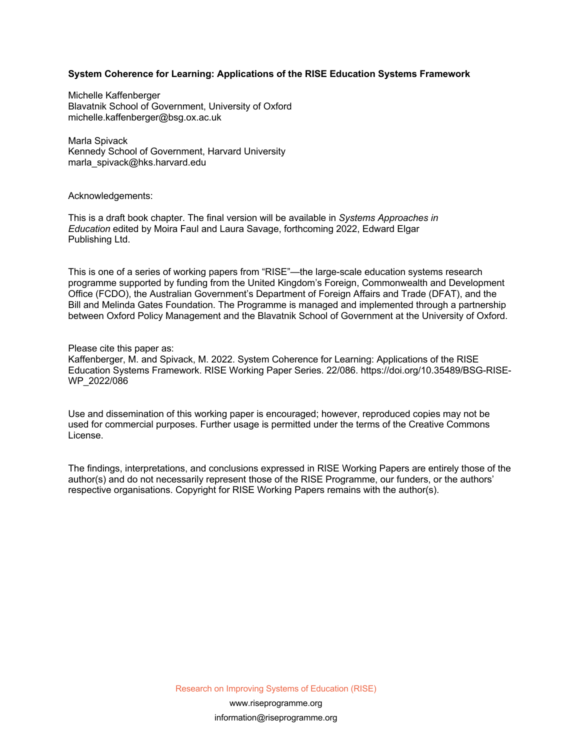#### **System Coherence for Learning: Applications of the RISE Education Systems Framework**

 Blavatnik School of Government, University of Oxford Michelle Kaffenberger [michelle.kaffenberger@bsg.ox.ac.uk](mailto:michelle.kaffenberger@bsg.ox.ac.uk) 

 Kennedy School of Government, Harvard University Marla Spivack [marla\\_spivack@hks.harvard.edu](mailto:marla_spivack@hks.harvard.edu) 

#### Acknowledgements:

 This is a draft book chapter. The final version will be available in *Systems Approaches in Education* edited by Moira Faul and Laura Savage, forthcoming 2022, Edward Elgar Publishing Ltd.

 This is one of a series of working papers from "RISE"—the large-scale education systems research Office (FCDO), the Australian Government's Department of Foreign Affairs and Trade (DFAT), and the Bill and Melinda Gates Foundation. The Programme is managed and implemented through a partnership between Oxford Policy Management and the Blavatnik School of Government at the University of Oxford. programme supported by funding from the United Kingdom's Foreign, Commonwealth and Development

#### Please cite this paper as:

 Kaffenberger, M. and Spivack, M. 2022. System Coherence for Learning: Applications of the RISE Education Systems Framework. RISE Working Paper Series. 22/086. [https://doi.org/10.35489/BSG-RISE-](https://doi.org/10.35489/BSG-RISE)WP\_2022/086

 Use and dissemination of this working paper is encouraged; however, reproduced copies may not be used for commercial purposes. Further usage is permitted under the terms of the Creative Commons License.

 The findings, interpretations, and conclusions expressed in RISE Working Papers are entirely those of the author(s) and do not necessarily represent those of the RISE Programme, our funders, or the authors' respective organisations. Copyright for RISE Working Papers remains with the author(s).

Research on Improving Systems of Education (RISE)

<www.riseprogramme.org> [information@riseprogramme.org](mailto:information@riseprogramme.org)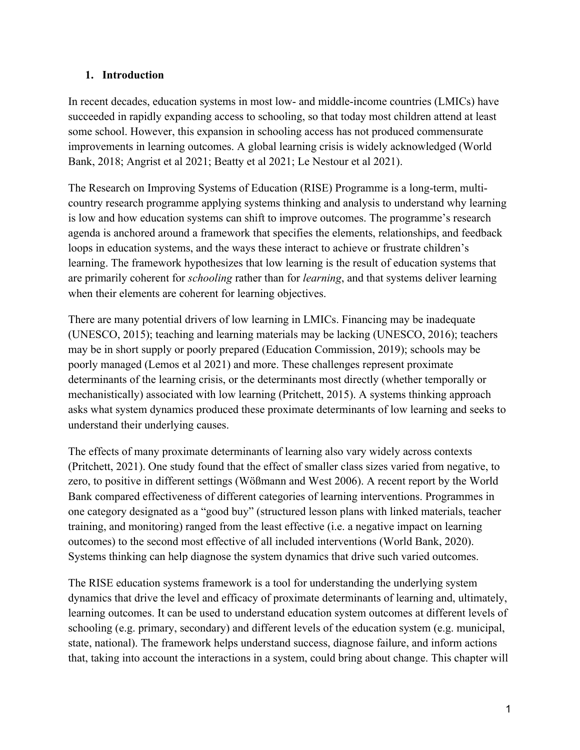#### **1. Introduction**

 succeeded in rapidly expanding access to schooling, so that today most children attend at least Bank, 2018; Angrist et al 2021; Beatty et al 2021; Le Nestour et al 2021). In recent decades, education systems in most low- and middle-income countries (LMICs) have some school. However, this expansion in schooling access has not produced commensurate improvements in learning outcomes. A global learning crisis is widely acknowledged (World

 The Research on Improving Systems of Education (RISE) Programme is a long-term, multi- country research programme applying systems thinking and analysis to understand why learning agenda is anchored around a framework that specifies the elements, relationships, and feedback loops in education systems, and the ways these interact to achieve or frustrate children's when their elements are coherent for learning objectives. is low and how education systems can shift to improve outcomes. The programme's research learning. The framework hypothesizes that low learning is the result of education systems that are primarily coherent for *schooling* rather than for *learning*, and that systems deliver learning

 (UNESCO, 2015); teaching and learning materials may be lacking (UNESCO, 2016); teachers poorly managed (Lemos et al 2021) and more. These challenges represent proximate asks what system dynamics produced these proximate determinants of low learning and seeks to understand their underlying causes. There are many potential drivers of low learning in LMICs. Financing may be inadequate may be in short supply or poorly prepared (Education Commission, 2019); schools may be determinants of the learning crisis, or the determinants most directly (whether temporally or mechanistically) associated with low learning (Pritchett, 2015). A systems thinking approach

 zero, to positive in different settings (Wößmann and West 2006). A recent report by the World Systems thinking can help diagnose the system dynamics that drive such varied outcomes. The effects of many proximate determinants of learning also vary widely across contexts (Pritchett, 2021). One study found that the effect of smaller class sizes varied from negative, to Bank compared effectiveness of different categories of learning interventions. Programmes in one category designated as a "good buy" (structured lesson plans with linked materials, teacher training, and monitoring) ranged from the least effective (i.e. a negative impact on learning outcomes) to the second most effective of all included interventions (World Bank, 2020).

The RISE education systems framework is a tool for understanding the underlying system dynamics that drive the level and efficacy of proximate determinants of learning and, ultimately, learning outcomes. It can be used to understand education system outcomes at different levels of schooling (e.g. primary, secondary) and different levels of the education system (e.g. municipal, state, national). The framework helps understand success, diagnose failure, and inform actions that, taking into account the interactions in a system, could bring about change. This chapter will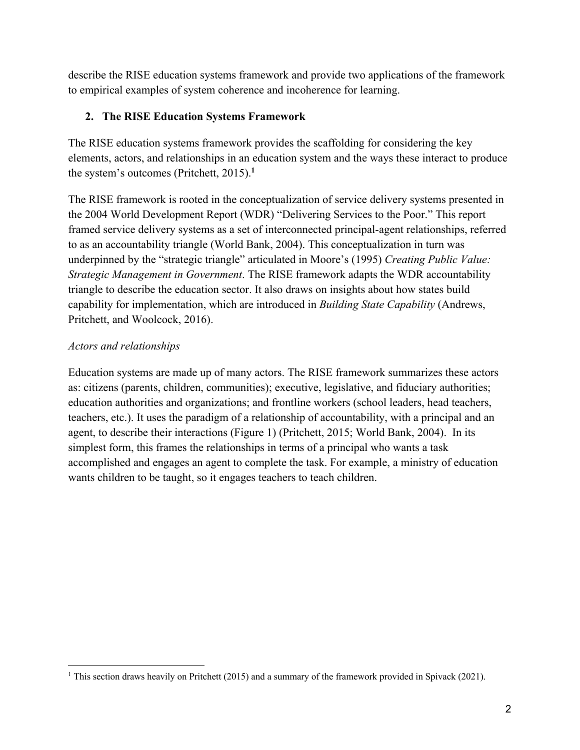to empirical examples of system coherence and incoherence for learning. describe the RISE education systems framework and provide two applications of the framework

### **2. The RISE Education Systems Framework**

 elements, actors, and relationships in an education system and the ways these interact to produce the system's outcomes (Pritchett, 2015).**<sup>1</sup>** The RISE education systems framework provides the scaffolding for considering the key

 The RISE framework is rooted in the conceptualization of service delivery systems presented in the 2004 World Development Report (WDR) "Delivering Services to the Poor." This report framed service delivery systems as a set of interconnected principal-agent relationships, referred to as an accountability triangle (World Bank, 2004). This conceptualization in turn was underpinned by the "strategic triangle" articulated in Moore's (1995) *Creating Public Value: Strategic Management in Government*. The RISE framework adapts the WDR accountability triangle to describe the education sector. It also draws on insights about how states build capability for implementation, which are introduced in *Building State Capability* (Andrews, Pritchett, and Woolcock, 2016).

## *Actors and relationships*

 Education systems are made up of many actors. The RISE framework summarizes these actors agent, to describe their interactions (Figure 1) (Pritchett, 2015; World Bank, 2004). In its accomplished and engages an agent to complete the task. For example, a ministry of education as: citizens (parents, children, communities); executive, legislative, and fiduciary authorities; education authorities and organizations; and frontline workers (school leaders, head teachers, teachers, etc.). It uses the paradigm of a relationship of accountability, with a principal and an simplest form, this frames the relationships in terms of a principal who wants a task wants children to be taught, so it engages teachers to teach children.

<sup>&</sup>lt;sup>1</sup> This section draws heavily on Pritchett (2015) and a summary of the framework provided in Spivack (2021).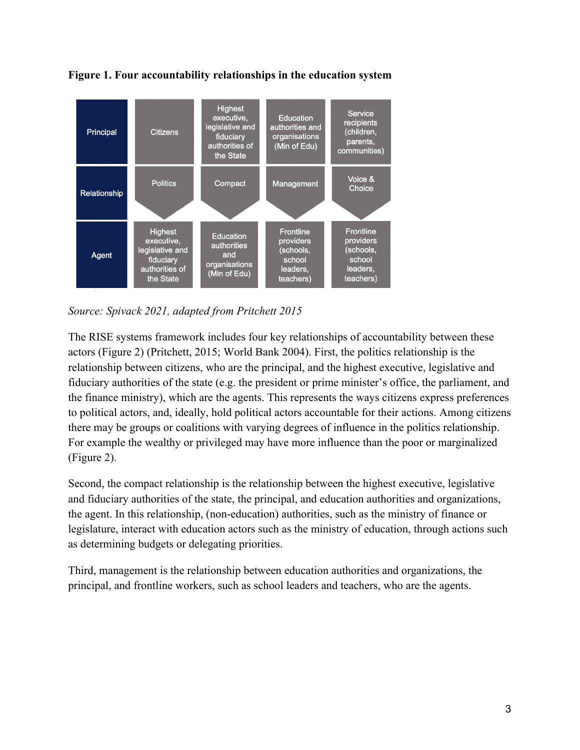

**Figure 1. Four accountability relationships in the education system** 

*Source: Spivack 2021, adapted from Pritchett 2015* 

 The RISE systems framework includes four key relationships of accountability between these actors (Figure 2) (Pritchett, 2015; World Bank 2004). First, the politics relationship is the relationship between citizens, who are the principal, and the highest executive, legislative and fiduciary authorities of the state (e.g. the president or prime minister's office, the parliament, and (Figure 2). the finance ministry), which are the agents. This represents the ways citizens express preferences to political actors, and, ideally, hold political actors accountable for their actions. Among citizens there may be groups or coalitions with varying degrees of influence in the politics relationship. For example the wealthy or privileged may have more influence than the poor or marginalized

Second, the compact relationship is the relationship between the highest executive, legislative and fiduciary authorities of the state, the principal, and education authorities and organizations, the agent. In this relationship, (non-education) authorities, such as the ministry of finance or legislature, interact with education actors such as the ministry of education, through actions such as determining budgets or delegating priorities.

 principal, and frontline workers, such as school leaders and teachers, who are the agents. Third, management is the relationship between education authorities and organizations, the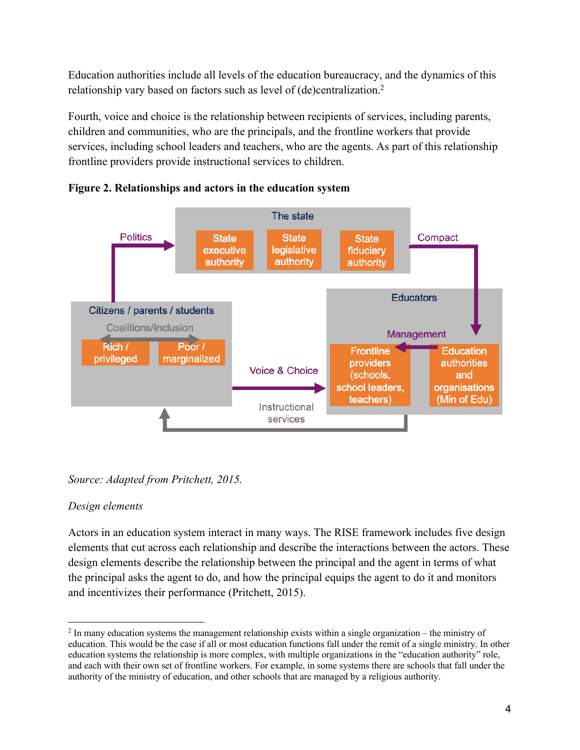Education authorities include all levels of the education bureaucracy, and the dynamics of this relationship vary based on factors such as level of (de)centralization.<sup>2</sup>

 children and communities, who are the principals, and the frontline workers that provide services, including school leaders and teachers, who are the agents. As part of this relationship Fourth, voice and choice is the relationship between recipients of services, including parents, frontline providers provide instructional services to children.







### *Design elements*

 elements that cut across each relationship and describe the interactions between the actors. These Actors in an education system interact in many ways. The RISE framework includes five design design elements describe the relationship between the principal and the agent in terms of what the principal asks the agent to do, and how the principal equips the agent to do it and monitors and incentivizes their performance (Pritchett, 2015).

 $2$  In many education systems the management relationship exists within a single organization – the ministry of education. This would be the case if all or most education functions fall under the remit of a single ministry. In other and each with their own set of frontline workers. For example, in some systems there are schools that fall under the authority of the ministry of education, and other schools that are managed by a religious authority. education systems the relationship is more complex, with multiple organizations in the "education authority" role,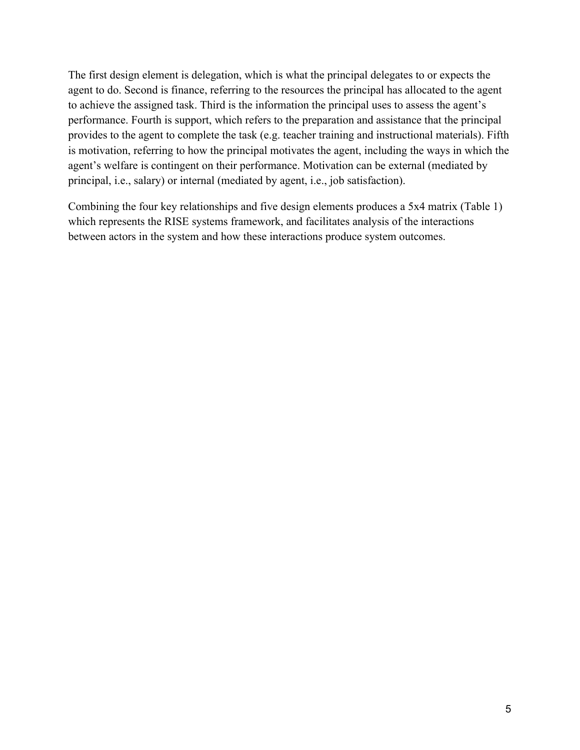The first design element is delegation, which is what the principal delegates to or expects the provides to the agent to complete the task (e.g. teacher training and instructional materials). Fifth is motivation, referring to how the principal motivates the agent, including the ways in which the agent's welfare is contingent on their performance. Motivation can be external (mediated by principal, i.e., salary) or internal (mediated by agent, i.e., job satisfaction). agent to do. Second is finance, referring to the resources the principal has allocated to the agent to achieve the assigned task. Third is the information the principal uses to assess the agent's performance. Fourth is support, which refers to the preparation and assistance that the principal

 Combining the four key relationships and five design elements produces a 5x4 matrix (Table 1) which represents the RISE systems framework, and facilitates analysis of the interactions between actors in the system and how these interactions produce system outcomes.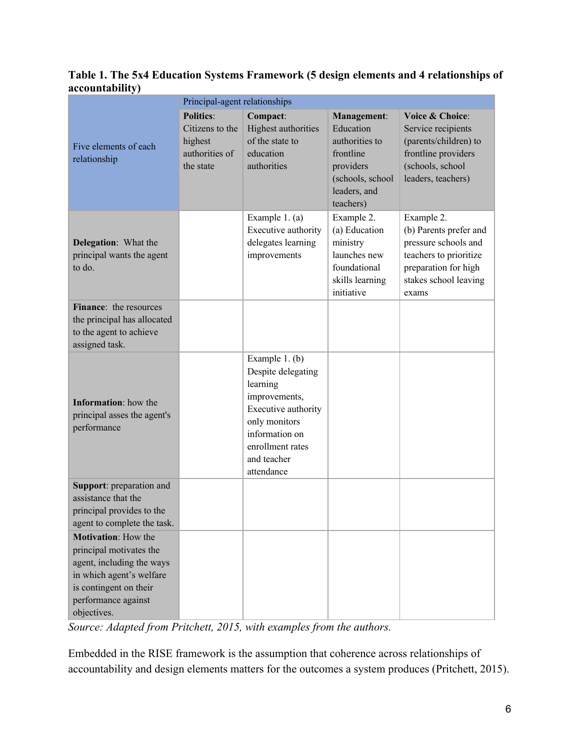#### **Table 1. The 5x4 Education Systems Framework (5 design elements and 4 relationships of accountability)**

|                                                                                                                                                                                | Principal-agent relationships                                                 |                                                                                                                                                                              |                                                                                                                              |                                                                                                                                                  |  |
|--------------------------------------------------------------------------------------------------------------------------------------------------------------------------------|-------------------------------------------------------------------------------|------------------------------------------------------------------------------------------------------------------------------------------------------------------------------|------------------------------------------------------------------------------------------------------------------------------|--------------------------------------------------------------------------------------------------------------------------------------------------|--|
| Five elements of each<br>relationship                                                                                                                                          | <b>Politics:</b><br>Citizens to the<br>highest<br>authorities of<br>the state | Compact:<br>Highest authorities<br>of the state to<br>education<br>authorities                                                                                               | <b>Management:</b><br>Education<br>authorities to<br>frontline<br>providers<br>(schools, school<br>leaders, and<br>teachers) | Voice & Choice:<br>Service recipients<br>(parents/children) to<br>frontline providers<br>(schools, school<br>leaders, teachers)                  |  |
| <b>Delegation:</b> What the<br>principal wants the agent<br>to do.                                                                                                             |                                                                               | Example 1. (a)<br>Executive authority<br>delegates learning<br>improvements                                                                                                  | Example 2.<br>(a) Education<br>ministry<br>launches new<br>foundational<br>skills learning<br>initiative                     | Example 2.<br>(b) Parents prefer and<br>pressure schools and<br>teachers to prioritize<br>preparation for high<br>stakes school leaving<br>exams |  |
| Finance: the resources<br>the principal has allocated<br>to the agent to achieve<br>assigned task.                                                                             |                                                                               |                                                                                                                                                                              |                                                                                                                              |                                                                                                                                                  |  |
| <b>Information:</b> how the<br>principal asses the agent's<br>performance                                                                                                      |                                                                               | Example 1. (b)<br>Despite delegating<br>learning<br>improvements,<br>Executive authority<br>only monitors<br>information on<br>enrollment rates<br>and teacher<br>attendance |                                                                                                                              |                                                                                                                                                  |  |
| Support: preparation and<br>assistance that the<br>principal provides to the<br>agent to complete the task.                                                                    |                                                                               |                                                                                                                                                                              |                                                                                                                              |                                                                                                                                                  |  |
| <b>Motivation:</b> How the<br>principal motivates the<br>agent, including the ways<br>in which agent's welfare<br>is contingent on their<br>performance against<br>objectives. |                                                                               |                                                                                                                                                                              |                                                                                                                              |                                                                                                                                                  |  |

*Source: Adapted from Pritchett, 2015, with examples from the authors.* 

Embedded in the RISE framework is the assumption that coherence across relationships of accountability and design elements matters for the outcomes a system produces (Pritchett, 2015).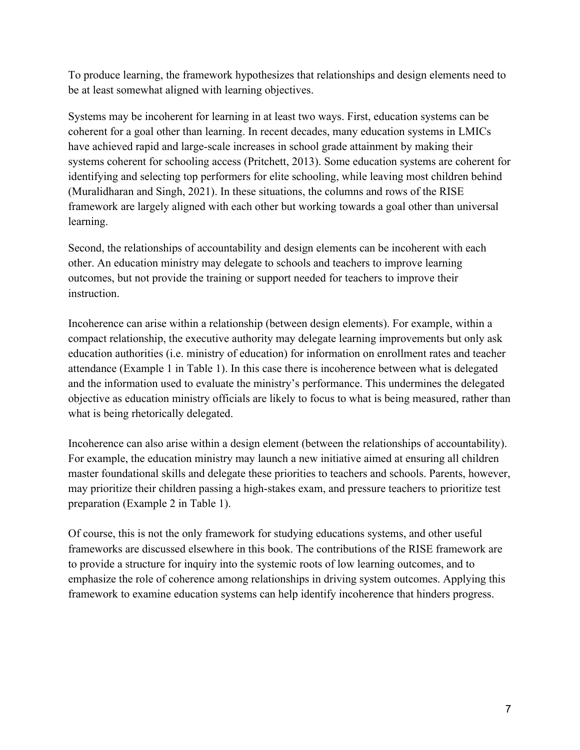To produce learning, the framework hypothesizes that relationships and design elements need to be at least somewhat aligned with learning objectives.

 Systems may be incoherent for learning in at least two ways. First, education systems can be identifying and selecting top performers for elite schooling, while leaving most children behind framework are largely aligned with each other but working towards a goal other than universal coherent for a goal other than learning. In recent decades, many education systems in LMICs have achieved rapid and large-scale increases in school grade attainment by making their systems coherent for schooling access (Pritchett, 2013). Some education systems are coherent for (Muralidharan and Singh, 2021). In these situations, the columns and rows of the RISE learning.

 Second, the relationships of accountability and design elements can be incoherent with each instruction. other. An education ministry may delegate to schools and teachers to improve learning outcomes, but not provide the training or support needed for teachers to improve their

instruction.<br>Incoherence can arise within a relationship (between design elements). For example, within a compact relationship, the executive authority may delegate learning improvements but only ask education authorities (i.e. ministry of education) for information on enrollment rates and teacher attendance (Example 1 in Table 1). In this case there is incoherence between what is delegated and the information used to evaluate the ministry's performance. This undermines the delegated objective as education ministry officials are likely to focus to what is being measured, rather than what is being rhetorically delegated.

 For example, the education ministry may launch a new initiative aimed at ensuring all children master foundational skills and delegate these priorities to teachers and schools. Parents, however, Incoherence can also arise within a design element (between the relationships of accountability). may prioritize their children passing a high-stakes exam, and pressure teachers to prioritize test preparation (Example 2 in Table 1).

 emphasize the role of coherence among relationships in driving system outcomes. Applying this framework to examine education systems can help identify incoherence that hinders progress. Of course, this is not the only framework for studying educations systems, and other useful frameworks are discussed elsewhere in this book. The contributions of the RISE framework are to provide a structure for inquiry into the systemic roots of low learning outcomes, and to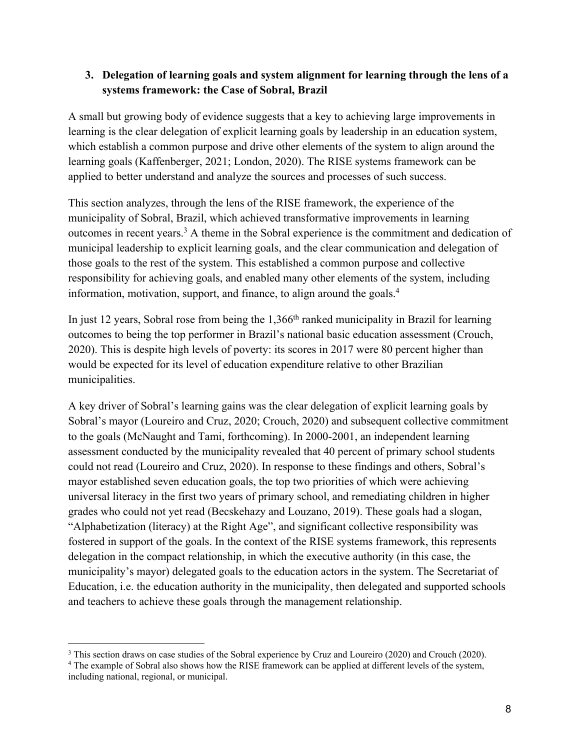#### **3. Delegation of learning goals and system alignment for learning through the lens of a systems framework: the Case of Sobral, Brazil**

 applied to better understand and analyze the sources and processes of such success. A small but growing body of evidence suggests that a key to achieving large improvements in learning is the clear delegation of explicit learning goals by leadership in an education system, which establish a common purpose and drive other elements of the system to align around the learning goals (Kaffenberger, 2021; London, 2020). The RISE systems framework can be

 This section analyzes, through the lens of the RISE framework, the experience of the information, motivation, support, and finance, to align around the goals.4 municipality of Sobral, Brazil, which achieved transformative improvements in learning outcomes in recent years.3 A theme in the Sobral experience is the commitment and dedication of municipal leadership to explicit learning goals, and the clear communication and delegation of those goals to the rest of the system. This established a common purpose and collective responsibility for achieving goals, and enabled many other elements of the system, including

In just 12 years, Sobral rose from being the  $1,366<sup>th</sup>$  ranked municipality in Brazil for learning outcomes to being the top performer in Brazil's national basic education assessment (Crouch, 2020). This is despite high levels of poverty: its scores in 2017 were 80 percent higher than would be expected for its level of education expenditure relative to other Brazilian municipalities.

A key driver of Sobral's learning gains was the clear delegation of explicit learning goals by Sobral's mayor (Loureiro and Cruz, 2020; Crouch, 2020) and subsequent collective commitment to the goals (McNaught and Tami, forthcoming). In 2000-2001, an independent learning assessment conducted by the municipality revealed that 40 percent of primary school students could not read (Loureiro and Cruz, 2020). In response to these findings and others, Sobral's mayor established seven education goals, the top two priorities of which were achieving universal literacy in the first two years of primary school, and remediating children in higher grades who could not yet read (Becskehazy and Louzano, 2019). These goals had a slogan, "Alphabetization (literacy) at the Right Age", and significant collective responsibility was fostered in support of the goals. In the context of the RISE systems framework, this represents delegation in the compact relationship, in which the executive authority (in this case, the municipality's mayor) delegated goals to the education actors in the system. The Secretariat of Education, i.e. the education authority in the municipality, then delegated and supported schools and teachers to achieve these goals through the management relationship.

 $3$  This section draws on case studies of the Sobral experience by Cruz and Loureiro (2020) and Crouch (2020).

<sup>&</sup>lt;sup>3</sup> This section draws on case studies of the Sobral experience by Cruz and Loureiro (2020) and Crouch (2020).  $4$  The example of Sobral also shows how the RISE framework can be applied at different levels of the system, including national, regional, or municipal.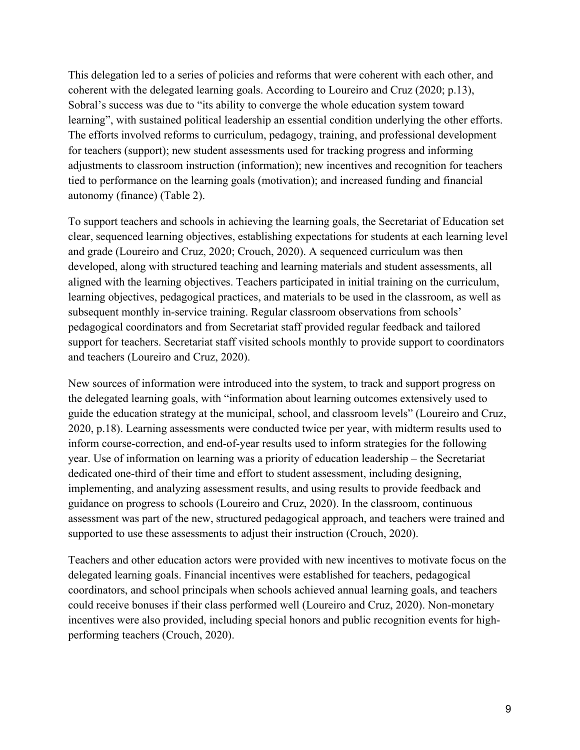autonomy (finance) (Table 2). This delegation led to a series of policies and reforms that were coherent with each other, and coherent with the delegated learning goals. According to Loureiro and Cruz (2020; p.13), Sobral's success was due to "its ability to converge the whole education system toward learning", with sustained political leadership an essential condition underlying the other efforts. The efforts involved reforms to curriculum, pedagogy, training, and professional development for teachers (support); new student assessments used for tracking progress and informing adjustments to classroom instruction (information); new incentives and recognition for teachers tied to performance on the learning goals (motivation); and increased funding and financial

To support teachers and schools in achieving the learning goals, the Secretariat of Education set clear, sequenced learning objectives, establishing expectations for students at each learning level and grade (Loureiro and Cruz, 2020; Crouch, 2020). A sequenced curriculum was then developed, along with structured teaching and learning materials and student assessments, all aligned with the learning objectives. Teachers participated in initial training on the curriculum, learning objectives, pedagogical practices, and materials to be used in the classroom, as well as subsequent monthly in-service training. Regular classroom observations from schools' pedagogical coordinators and from Secretariat staff provided regular feedback and tailored support for teachers. Secretariat staff visited schools monthly to provide support to coordinators and teachers (Loureiro and Cruz, 2020).

New sources of information were introduced into the system, to track and support progress on the delegated learning goals, with "information about learning outcomes extensively used to guide the education strategy at the municipal, school, and classroom levels" (Loureiro and Cruz, 2020, p.18). Learning assessments were conducted twice per year, with midterm results used to inform course-correction, and end-of-year results used to inform strategies for the following year. Use of information on learning was a priority of education leadership – the Secretariat dedicated one-third of their time and effort to student assessment, including designing, implementing, and analyzing assessment results, and using results to provide feedback and guidance on progress to schools (Loureiro and Cruz, 2020). In the classroom, continuous assessment was part of the new, structured pedagogical approach, and teachers were trained and supported to use these assessments to adjust their instruction (Crouch, 2020).

Teachers and other education actors were provided with new incentives to motivate focus on the delegated learning goals. Financial incentives were established for teachers, pedagogical coordinators, and school principals when schools achieved annual learning goals, and teachers could receive bonuses if their class performed well (Loureiro and Cruz, 2020). Non-monetary incentives were also provided, including special honors and public recognition events for highperforming teachers (Crouch, 2020).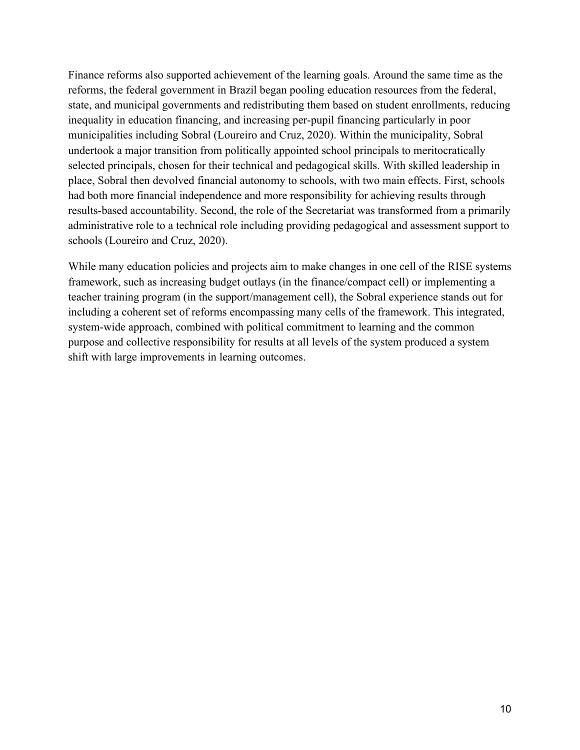Finance reforms also supported achievement of the learning goals. Around the same time as the reforms, the federal government in Brazil began pooling education resources from the federal, state, and municipal governments and redistributing them based on student enrollments, reducing inequality in education financing, and increasing per-pupil financing particularly in poor municipalities including Sobral (Loureiro and Cruz, 2020). Within the municipality, Sobral undertook a major transition from politically appointed school principals to meritocratically selected principals, chosen for their technical and pedagogical skills. With skilled leadership in place, Sobral then devolved financial autonomy to schools, with two main effects. First, schools had both more financial independence and more responsibility for achieving results through results-based accountability. Second, the role of the Secretariat was transformed from a primarily administrative role to a technical role including providing pedagogical and assessment support to schools (Loureiro and Cruz, 2020).

 While many education policies and projects aim to make changes in one cell of the RISE systems framework, such as increasing budget outlays (in the finance/compact cell) or implementing a teacher training program (in the support/management cell), the Sobral experience stands out for including a coherent set of reforms encompassing many cells of the framework. This integrated, system-wide approach, combined with political commitment to learning and the common purpose and collective responsibility for results at all levels of the system produced a system shift with large improvements in learning outcomes.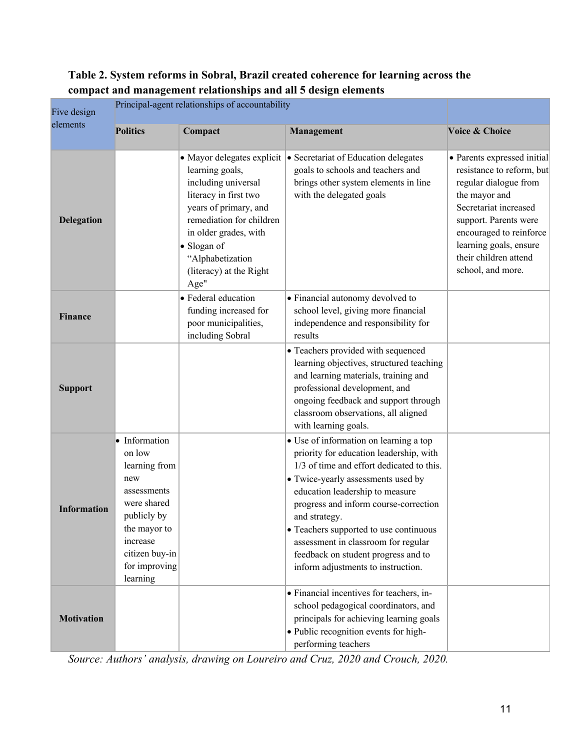## **Table 2. System reforms in Sobral, Brazil created coherence for learning across the compact and management relationships and all 5 design elements**

| Five design        | Principal-agent relationships of accountability                                                                                                                         |                                                                                                                                                                                                                     |                                                                                                                                                                                                                                                                                                                                                                                                                                 |                                                                                                                                                                                                                                                         |
|--------------------|-------------------------------------------------------------------------------------------------------------------------------------------------------------------------|---------------------------------------------------------------------------------------------------------------------------------------------------------------------------------------------------------------------|---------------------------------------------------------------------------------------------------------------------------------------------------------------------------------------------------------------------------------------------------------------------------------------------------------------------------------------------------------------------------------------------------------------------------------|---------------------------------------------------------------------------------------------------------------------------------------------------------------------------------------------------------------------------------------------------------|
| elements           | <b>Politics</b>                                                                                                                                                         | Compact                                                                                                                                                                                                             | <b>Management</b>                                                                                                                                                                                                                                                                                                                                                                                                               | Voice & Choice                                                                                                                                                                                                                                          |
| <b>Delegation</b>  |                                                                                                                                                                         | learning goals,<br>including universal<br>literacy in first two<br>years of primary, and<br>remediation for children<br>in older grades, with<br>• Slogan of<br>"Alphabetization<br>(literacy) at the Right<br>Age" | • Mayor delegates explicit • Secretariat of Education delegates<br>goals to schools and teachers and<br>brings other system elements in line<br>with the delegated goals                                                                                                                                                                                                                                                        | · Parents expressed initial<br>resistance to reform, but<br>regular dialogue from<br>the mayor and<br>Secretariat increased<br>support. Parents were<br>encouraged to reinforce<br>learning goals, ensure<br>their children attend<br>school, and more. |
| Finance            |                                                                                                                                                                         | · Federal education<br>funding increased for<br>poor municipalities,<br>including Sobral                                                                                                                            | • Financial autonomy devolved to<br>school level, giving more financial<br>independence and responsibility for<br>results                                                                                                                                                                                                                                                                                                       |                                                                                                                                                                                                                                                         |
| <b>Support</b>     |                                                                                                                                                                         |                                                                                                                                                                                                                     | • Teachers provided with sequenced<br>learning objectives, structured teaching<br>and learning materials, training and<br>professional development, and<br>ongoing feedback and support through<br>classroom observations, all aligned<br>with learning goals.                                                                                                                                                                  |                                                                                                                                                                                                                                                         |
| <b>Information</b> | · Information<br>on low<br>learning from<br>new<br>assessments<br>were shared<br>publicly by<br>the mayor to<br>increase<br>citizen buy-in<br>for improving<br>learning |                                                                                                                                                                                                                     | • Use of information on learning a top<br>priority for education leadership, with<br>1/3 of time and effort dedicated to this.<br>• Twice-yearly assessments used by<br>education leadership to measure<br>progress and inform course-correction<br>and strategy.<br>• Teachers supported to use continuous<br>assessment in classroom for regular<br>feedback on student progress and to<br>inform adjustments to instruction. |                                                                                                                                                                                                                                                         |
| <b>Motivation</b>  |                                                                                                                                                                         |                                                                                                                                                                                                                     | • Financial incentives for teachers, in-<br>school pedagogical coordinators, and<br>principals for achieving learning goals<br>· Public recognition events for high-<br>performing teachers                                                                                                                                                                                                                                     |                                                                                                                                                                                                                                                         |

*Source: Authors' analysis, drawing on Loureiro and Cruz, 2020 and Crouch, 2020.*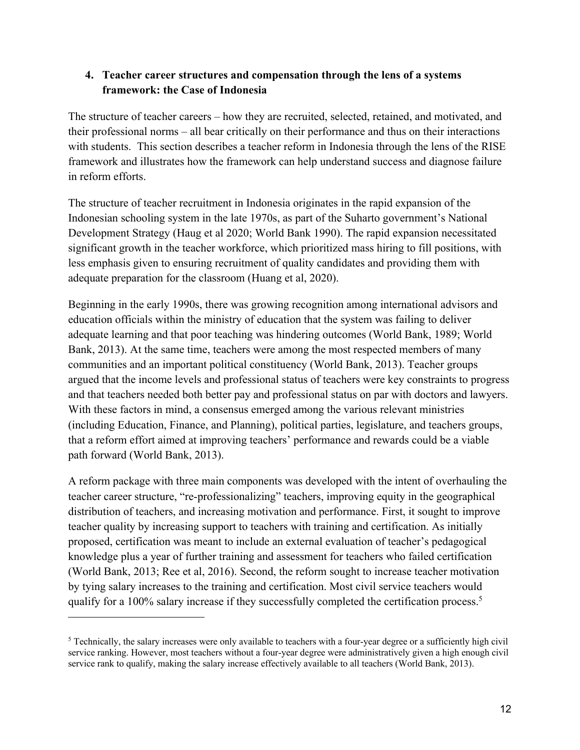#### **framework: the Case of Indonesia 4. Teacher career structures and compensation through the lens of a systems**

 The structure of teacher careers – how they are recruited, selected, retained, and motivated, and their professional norms – all bear critically on their performance and thus on their interactions framework and illustrates how the framework can help understand success and diagnose failure in reform efforts. with students. This section describes a teacher reform in Indonesia through the lens of the RISE

in reform efforts.<br>The structure of teacher recruitment in Indonesia originates in the rapid expansion of the Development Strategy (Haug et al 2020; World Bank 1990). The rapid expansion necessitated adequate preparation for the classroom (Huang et al, 2020). Indonesian schooling system in the late 1970s, as part of the Suharto government's National significant growth in the teacher workforce, which prioritized mass hiring to fill positions, with less emphasis given to ensuring recruitment of quality candidates and providing them with

 Beginning in the early 1990s, there was growing recognition among international advisors and argued that the income levels and professional status of teachers were key constraints to progress With these factors in mind, a consensus emerged among the various relevant ministries path forward (World Bank, 2013). education officials within the ministry of education that the system was failing to deliver adequate learning and that poor teaching was hindering outcomes (World Bank, 1989; World Bank, 2013). At the same time, teachers were among the most respected members of many communities and an important political constituency (World Bank, 2013). Teacher groups and that teachers needed both better pay and professional status on par with doctors and lawyers. (including Education, Finance, and Planning), political parties, legislature, and teachers groups, that a reform effort aimed at improving teachers' performance and rewards could be a viable

 A reform package with three main components was developed with the intent of overhauling the distribution of teachers, and increasing motivation and performance. First, it sought to improve knowledge plus a year of further training and assessment for teachers who failed certification (World Bank, 2013; Ree et al, 2016). Second, the reform sought to increase teacher motivation teacher career structure, "re-professionalizing" teachers, improving equity in the geographical teacher quality by increasing support to teachers with training and certification. As initially proposed, certification was meant to include an external evaluation of teacher's pedagogical by tying salary increases to the training and certification. Most civil service teachers would qualify for a 100% salary increase if they successfully completed the certification process.<sup>5</sup>

 $5$  Technically, the salary increases were only available to teachers with a four-year degree or a sufficiently high civil service rank to qualify, making the salary increase effectively available to all teachers (World Bank, 2013). service ranking. However, most teachers without a four-year degree were administratively given a high enough civil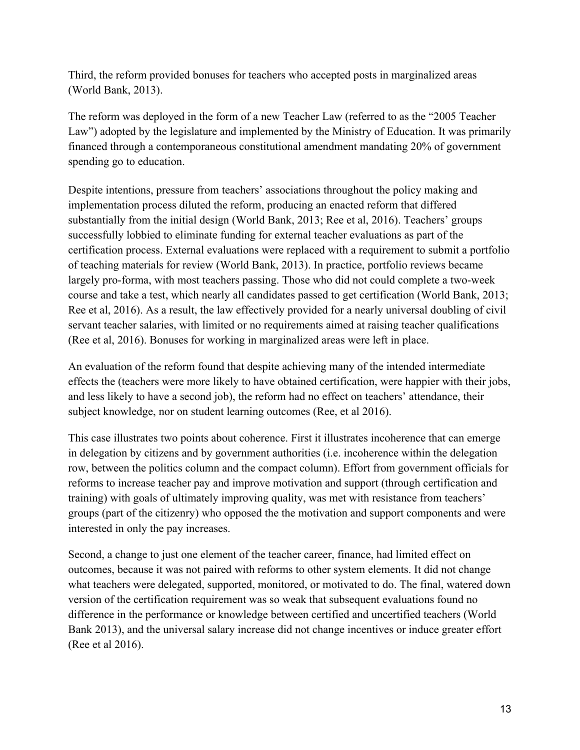Third, the reform provided bonuses for teachers who accepted posts in marginalized areas (World Bank, 2013).

The reform was deployed in the form of a new Teacher Law (referred to as the "2005 Teacher Law") adopted by the legislature and implemented by the Ministry of Education. It was primarily financed through a contemporaneous constitutional amendment mandating 20% of government spending go to education.

 Despite intentions, pressure from teachers' associations throughout the policy making and substantially from the initial design (World Bank, 2013; Ree et al, 2016). Teachers' groups certification process. External evaluations were replaced with a requirement to submit a portfolio of teaching materials for review (World Bank, 2013). In practice, portfolio reviews became largely pro-forma, with most teachers passing. Those who did not could complete a two-week course and take a test, which nearly all candidates passed to get certification (World Bank, 2013; Ree et al, 2016). As a result, the law effectively provided for a nearly universal doubling of civil servant teacher salaries, with limited or no requirements aimed at raising teacher qualifications implementation process diluted the reform, producing an enacted reform that differed successfully lobbied to eliminate funding for external teacher evaluations as part of the (Ree et al, 2016). Bonuses for working in marginalized areas were left in place.

 subject knowledge, nor on student learning outcomes (Ree, et al 2016). An evaluation of the reform found that despite achieving many of the intended intermediate effects the (teachers were more likely to have obtained certification, were happier with their jobs, and less likely to have a second job), the reform had no effect on teachers' attendance, their

 This case illustrates two points about coherence. First it illustrates incoherence that can emerge in delegation by citizens and by government authorities (i.e. incoherence within the delegation training) with goals of ultimately improving quality, was met with resistance from teachers' groups (part of the citizenry) who opposed the the motivation and support components and were row, between the politics column and the compact column). Effort from government officials for reforms to increase teacher pay and improve motivation and support (through certification and interested in only the pay increases.

 outcomes, because it was not paired with reforms to other system elements. It did not change what teachers were delegated, supported, monitored, or motivated to do. The final, watered down version of the certification requirement was so weak that subsequent evaluations found no Second, a change to just one element of the teacher career, finance, had limited effect on difference in the performance or knowledge between certified and uncertified teachers (World Bank 2013), and the universal salary increase did not change incentives or induce greater effort (Ree et al 2016).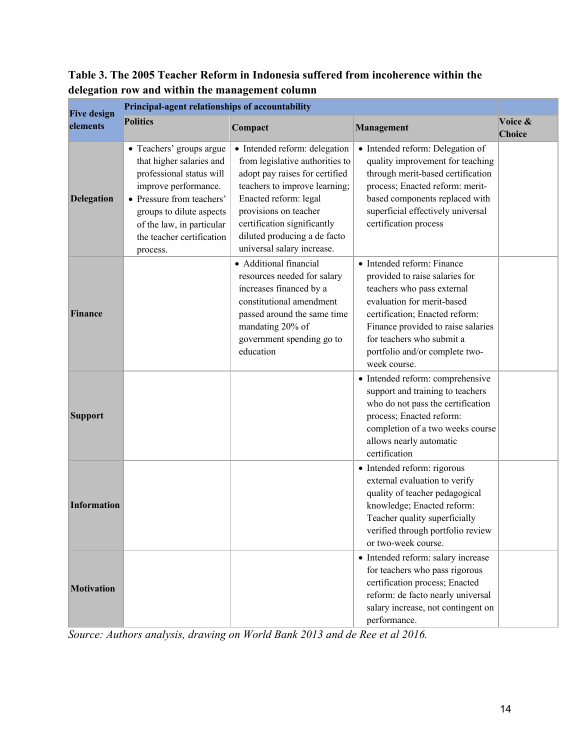### **Table 3. The 2005 Teacher Reform in Indonesia suffered from incoherence within the delegation row and within the management column**

| <b>Five design</b><br>elements | Principal-agent relationships of accountability                                                                                                                                                                                         |                                                                                                                                                                                                                                                                                    |                                                                                                                                                                                                                                                                                 |                   |  |  |  |
|--------------------------------|-----------------------------------------------------------------------------------------------------------------------------------------------------------------------------------------------------------------------------------------|------------------------------------------------------------------------------------------------------------------------------------------------------------------------------------------------------------------------------------------------------------------------------------|---------------------------------------------------------------------------------------------------------------------------------------------------------------------------------------------------------------------------------------------------------------------------------|-------------------|--|--|--|
|                                | <b>Politics</b>                                                                                                                                                                                                                         | Compact                                                                                                                                                                                                                                                                            | <b>Management</b>                                                                                                                                                                                                                                                               | Voice &<br>Choice |  |  |  |
| <b>Delegation</b>              | • Teachers' groups argue<br>that higher salaries and<br>professional status will<br>improve performance.<br>• Pressure from teachers'<br>groups to dilute aspects<br>of the law, in particular<br>the teacher certification<br>process. | · Intended reform: delegation<br>from legislative authorities to<br>adopt pay raises for certified<br>teachers to improve learning;<br>Enacted reform: legal<br>provisions on teacher<br>certification significantly<br>diluted producing a de facto<br>universal salary increase. | • Intended reform: Delegation of<br>quality improvement for teaching<br>through merit-based certification<br>process; Enacted reform: merit-<br>based components replaced with<br>superficial effectively universal<br>certification process                                    |                   |  |  |  |
| Finance                        |                                                                                                                                                                                                                                         | · Additional financial<br>resources needed for salary<br>increases financed by a<br>constitutional amendment<br>passed around the same time<br>mandating 20% of<br>government spending go to<br>education                                                                          | • Intended reform: Finance<br>provided to raise salaries for<br>teachers who pass external<br>evaluation for merit-based<br>certification; Enacted reform:<br>Finance provided to raise salaries<br>for teachers who submit a<br>portfolio and/or complete two-<br>week course. |                   |  |  |  |
| <b>Support</b>                 |                                                                                                                                                                                                                                         |                                                                                                                                                                                                                                                                                    | • Intended reform: comprehensive<br>support and training to teachers<br>who do not pass the certification<br>process; Enacted reform:<br>completion of a two weeks course<br>allows nearly automatic<br>certification                                                           |                   |  |  |  |
| <b>Information</b>             |                                                                                                                                                                                                                                         |                                                                                                                                                                                                                                                                                    | · Intended reform: rigorous<br>external evaluation to verify<br>quality of teacher pedagogical<br>knowledge; Enacted reform:<br>Teacher quality superficially<br>verified through portfolio review<br>or two-week course.                                                       |                   |  |  |  |
| <b>Motivation</b>              |                                                                                                                                                                                                                                         |                                                                                                                                                                                                                                                                                    | · Intended reform: salary increase<br>for teachers who pass rigorous<br>certification process; Enacted<br>reform: de facto nearly universal<br>salary increase, not contingent on<br>performance.                                                                               |                   |  |  |  |

*Source: Authors analysis, drawing on World Bank 2013 and de Ree et al 2016.*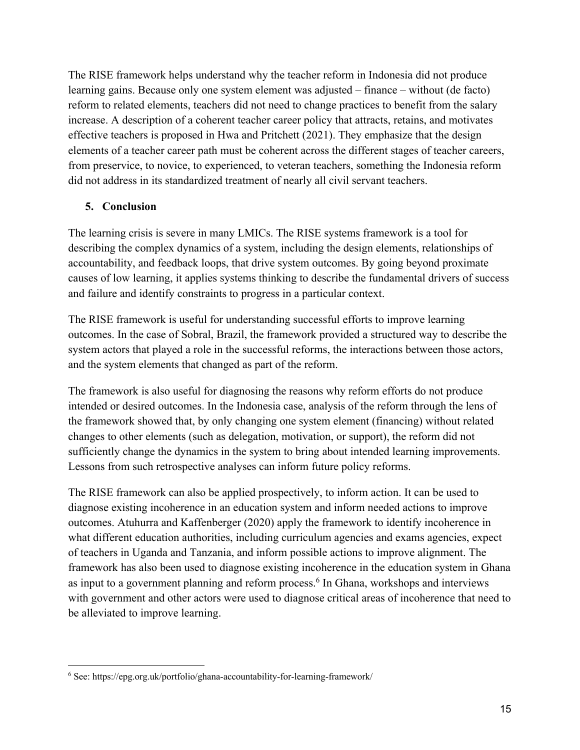The RISE framework helps understand why the teacher reform in Indonesia did not produce learning gains. Because only one system element was adjusted – finance – without (de facto) reform to related elements, teachers did not need to change practices to benefit from the salary increase. A description of a coherent teacher career policy that attracts, retains, and motivates effective teachers is proposed in Hwa and Pritchett (2021). They emphasize that the design elements of a teacher career path must be coherent across the different stages of teacher careers, from preservice, to novice, to experienced, to veteran teachers, something the Indonesia reform did not address in its standardized treatment of nearly all civil servant teachers.

#### **5. Conclusion**

 causes of low learning, it applies systems thinking to describe the fundamental drivers of success The learning crisis is severe in many LMICs. The RISE systems framework is a tool for describing the complex dynamics of a system, including the design elements, relationships of accountability, and feedback loops, that drive system outcomes. By going beyond proximate and failure and identify constraints to progress in a particular context.

 The RISE framework is useful for understanding successful efforts to improve learning system actors that played a role in the successful reforms, the interactions between those actors, and the system elements that changed as part of the reform. outcomes. In the case of Sobral, Brazil, the framework provided a structured way to describe the

 the framework showed that, by only changing one system element (financing) without related The framework is also useful for diagnosing the reasons why reform efforts do not produce intended or desired outcomes. In the Indonesia case, analysis of the reform through the lens of changes to other elements (such as delegation, motivation, or support), the reform did not sufficiently change the dynamics in the system to bring about intended learning improvements. Lessons from such retrospective analyses can inform future policy reforms.

 The RISE framework can also be applied prospectively, to inform action. It can be used to diagnose existing incoherence in an education system and inform needed actions to improve outcomes. Atuhurra and Kaffenberger (2020) apply the framework to identify incoherence in what different education authorities, including curriculum agencies and exams agencies, expect of teachers in Uganda and Tanzania, and inform possible actions to improve alignment. The framework has also been used to diagnose existing incoherence in the education system in Ghana as input to a government planning and reform process.<sup>6</sup> In Ghana, workshops and interviews with government and other actors were used to diagnose critical areas of incoherence that need to be alleviated to improve learning.

<sup>6</sup> See: [https://epg.org.uk/portfolio/ghana-accountability-for-learning-framework/](https://epg.org.uk/portfolio/ghana-accountability-for-learning-framework)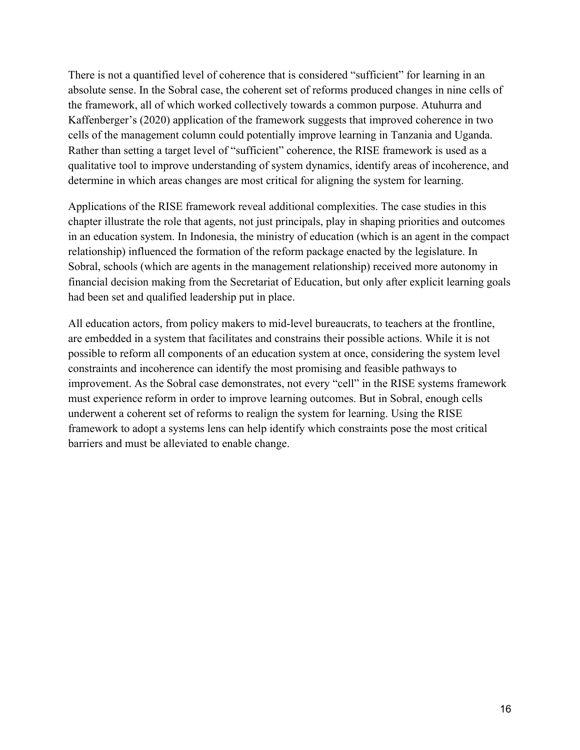There is not a quantified level of coherence that is considered "sufficient" for learning in an Rather than setting a target level of "sufficient" coherence, the RISE framework is used as a determine in which areas changes are most critical for aligning the system for learning. absolute sense. In the Sobral case, the coherent set of reforms produced changes in nine cells of the framework, all of which worked collectively towards a common purpose. Atuhurra and Kaffenberger's (2020) application of the framework suggests that improved coherence in two cells of the management column could potentially improve learning in Tanzania and Uganda. qualitative tool to improve understanding of system dynamics, identify areas of incoherence, and

 Applications of the RISE framework reveal additional complexities. The case studies in this chapter illustrate the role that agents, not just principals, play in shaping priorities and outcomes in an education system. In Indonesia, the ministry of education (which is an agent in the compact relationship) influenced the formation of the reform package enacted by the legislature. In Sobral, schools (which are agents in the management relationship) received more autonomy in financial decision making from the Secretariat of Education, but only after explicit learning goals had been set and qualified leadership put in place.

 All education actors, from policy makers to mid-level bureaucrats, to teachers at the frontline, are embedded in a system that facilitates and constrains their possible actions. While it is not framework to adopt a systems lens can help identify which constraints pose the most critical possible to reform all components of an education system at once, considering the system level constraints and incoherence can identify the most promising and feasible pathways to improvement. As the Sobral case demonstrates, not every "cell" in the RISE systems framework must experience reform in order to improve learning outcomes. But in Sobral, enough cells underwent a coherent set of reforms to realign the system for learning. Using the RISE barriers and must be alleviated to enable change.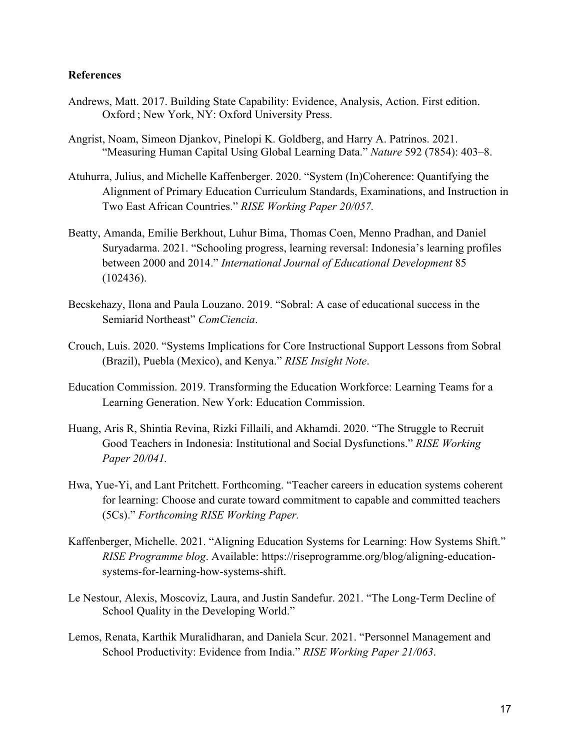#### **References**

- Andrews, Matt. 2017. Building State Capability: Evidence, Analysis, Action. First edition. Oxford ; New York, NY: Oxford University Press.
- "Measuring Human Capital Using Global Learning Data." *Nature* 592 (7854): 403–8. Angrist, Noam, Simeon Djankov, Pinelopi K. Goldberg, and Harry A. Patrinos. 2021.
- Atuhurra, Julius, and Michelle Kaffenberger. 2020. "System (In)Coherence: Quantifying the Alignment of Primary Education Curriculum Standards, Examinations, and Instruction in Two East African Countries." *RISE Working Paper 20/057.*
- between 2000 and 2014." *International Journal of Educational Development* 85 Beatty, Amanda, Emilie Berkhout, Luhur Bima, Thomas Coen, Menno Pradhan, and Daniel Suryadarma. 2021. "Schooling progress, learning reversal: Indonesia's learning profiles (102436).
- Becskehazy, Ilona and Paula Louzano. 2019. "Sobral: A case of educational success in the Semiarid Northeast" *ComCiencia*.
- Crouch, Luis. 2020. "Systems Implications for Core Instructional Support Lessons from Sobral (Brazil), Puebla (Mexico), and Kenya." *RISE Insight Note*.
- Education Commission. 2019. Transforming the Education Workforce: Learning Teams for a Learning Generation. New York: Education Commission.
- Huang, Aris R, Shintia Revina, Rizki Fillaili, and Akhamdi. 2020. "The Struggle to Recruit Good Teachers in Indonesia: Institutional and Social Dysfunctions." *RISE Working Paper 20/041.*
- Hwa, Yue-Yi, and Lant Pritchett. Forthcoming. "Teacher careers in education systems coherent for learning: Choose and curate toward commitment to capable and committed teachers (5Cs)." *Forthcoming RISE Working Paper.*
- Kaffenberger, Michelle. 2021. "Aligning Education Systems for Learning: How Systems Shift." *RISE Programme blog*. Available:<https://riseprogramme.org/blog/aligning-education>systems-for-learning-how-systems-shift.
- Le Nestour, Alexis, Moscoviz, Laura, and Justin Sandefur. 2021. "The Long-Term Decline of School Quality in the Developing World."
- Lemos, Renata, Karthik Muralidharan, and Daniela Scur. 2021. "Personnel Management and School Productivity: Evidence from India." *RISE Working Paper 21/063*.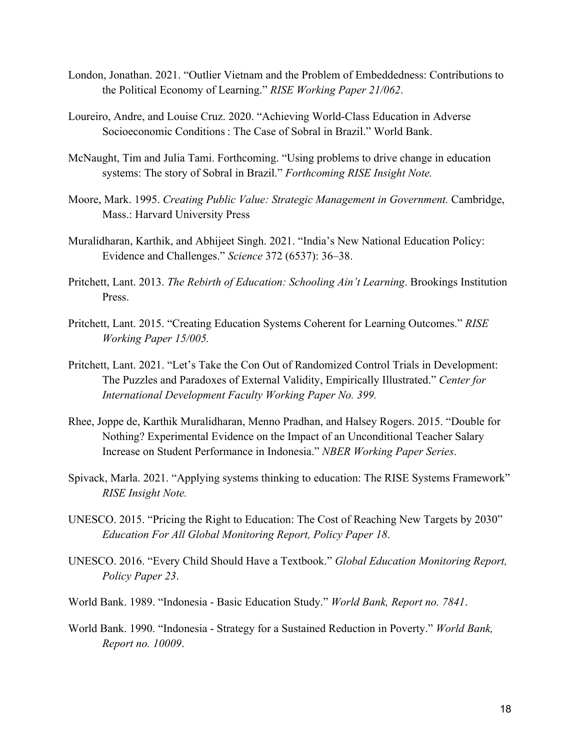- London, Jonathan. 2021. "Outlier Vietnam and the Problem of Embeddedness: Contributions to the Political Economy of Learning." *RISE Working Paper 21/062*.
- Loureiro, Andre, and Louise Cruz. 2020. "Achieving World-Class Education in Adverse Socioeconomic Conditions : The Case of Sobral in Brazil." World Bank.
- McNaught, Tim and Julia Tami. Forthcoming. "Using problems to drive change in education systems: The story of Sobral in Brazil." *Forthcoming RISE Insight Note.*
- Moore, Mark. 1995. *Creating Public Value: Strategic Management in Government.* Cambridge, Mass.: Harvard University Press
- Evidence and Challenges." *Science* 372 (6537): 36–38. Muralidharan, Karthik, and Abhijeet Singh. 2021. "India's New National Education Policy:
- Pritchett, Lant. 2013. *The Rebirth of Education: Schooling Ain't Learning*. Brookings Institution Press.
- Pritchett, Lant. 2015. "Creating Education Systems Coherent for Learning Outcomes." *RISE Working Paper 15/005.*
- Pritchett, Lant. 2021. "Let's Take the Con Out of Randomized Control Trials in Development: The Puzzles and Paradoxes of External Validity, Empirically Illustrated." *Center for International Development Faculty Working Paper No. 399.*
- Rhee, Joppe de, Karthik Muralidharan, Menno Pradhan, and Halsey Rogers. 2015. "Double for Nothing? Experimental Evidence on the Impact of an Unconditional Teacher Salary Increase on Student Performance in Indonesia." *NBER Working Paper Series*.
- Spivack, Marla. 2021. "Applying systems thinking to education: The RISE Systems Framework" *RISE Insight Note.*
- UNESCO. 2015. "Pricing the Right to Education: The Cost of Reaching New Targets by 2030" *Education For All Global Monitoring Report, Policy Paper 18*.
- UNESCO. 2016. "Every Child Should Have a Textbook." *Global Education Monitoring Report, Policy Paper 23*.
- World Bank. 1989. "Indonesia Basic Education Study." *World Bank, Report no. 7841*.
- World Bank. 1990. "Indonesia Strategy for a Sustained Reduction in Poverty." *World Bank, Report no. 10009*.